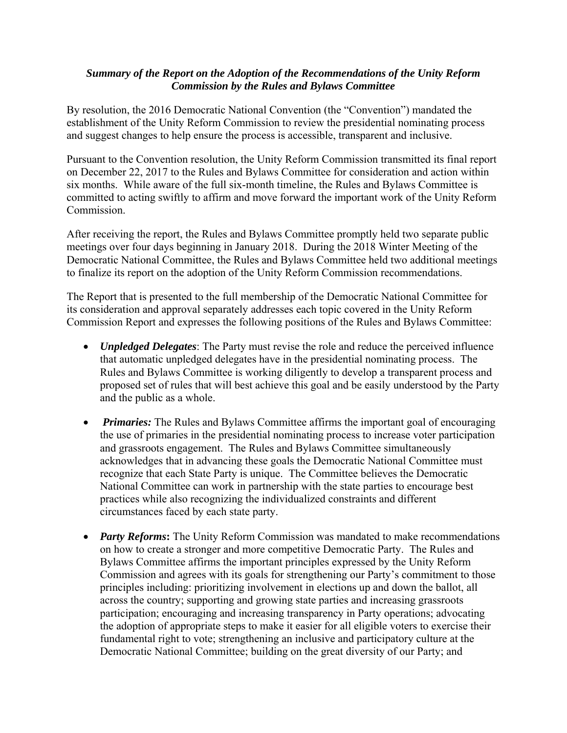## *Summary of the Report on the Adoption of the Recommendations of the Unity Reform Commission by the Rules and Bylaws Committee*

By resolution, the 2016 Democratic National Convention (the "Convention") mandated the establishment of the Unity Reform Commission to review the presidential nominating process and suggest changes to help ensure the process is accessible, transparent and inclusive.

Pursuant to the Convention resolution, the Unity Reform Commission transmitted its final report on December 22, 2017 to the Rules and Bylaws Committee for consideration and action within six months. While aware of the full six-month timeline, the Rules and Bylaws Committee is committed to acting swiftly to affirm and move forward the important work of the Unity Reform Commission.

After receiving the report, the Rules and Bylaws Committee promptly held two separate public meetings over four days beginning in January 2018. During the 2018 Winter Meeting of the Democratic National Committee, the Rules and Bylaws Committee held two additional meetings to finalize its report on the adoption of the Unity Reform Commission recommendations.

The Report that is presented to the full membership of the Democratic National Committee for its consideration and approval separately addresses each topic covered in the Unity Reform Commission Report and expresses the following positions of the Rules and Bylaws Committee:

- *Unpledged Delegates*: The Party must revise the role and reduce the perceived influence that automatic unpledged delegates have in the presidential nominating process. The Rules and Bylaws Committee is working diligently to develop a transparent process and proposed set of rules that will best achieve this goal and be easily understood by the Party and the public as a whole.
- *Primaries:* The Rules and Bylaws Committee affirms the important goal of encouraging the use of primaries in the presidential nominating process to increase voter participation and grassroots engagement. The Rules and Bylaws Committee simultaneously acknowledges that in advancing these goals the Democratic National Committee must recognize that each State Party is unique. The Committee believes the Democratic National Committee can work in partnership with the state parties to encourage best practices while also recognizing the individualized constraints and different circumstances faced by each state party.
- *Party Reforms***:** The Unity Reform Commission was mandated to make recommendations on how to create a stronger and more competitive Democratic Party. The Rules and Bylaws Committee affirms the important principles expressed by the Unity Reform Commission and agrees with its goals for strengthening our Party's commitment to those principles including: prioritizing involvement in elections up and down the ballot, all across the country; supporting and growing state parties and increasing grassroots participation; encouraging and increasing transparency in Party operations; advocating the adoption of appropriate steps to make it easier for all eligible voters to exercise their fundamental right to vote; strengthening an inclusive and participatory culture at the Democratic National Committee; building on the great diversity of our Party; and